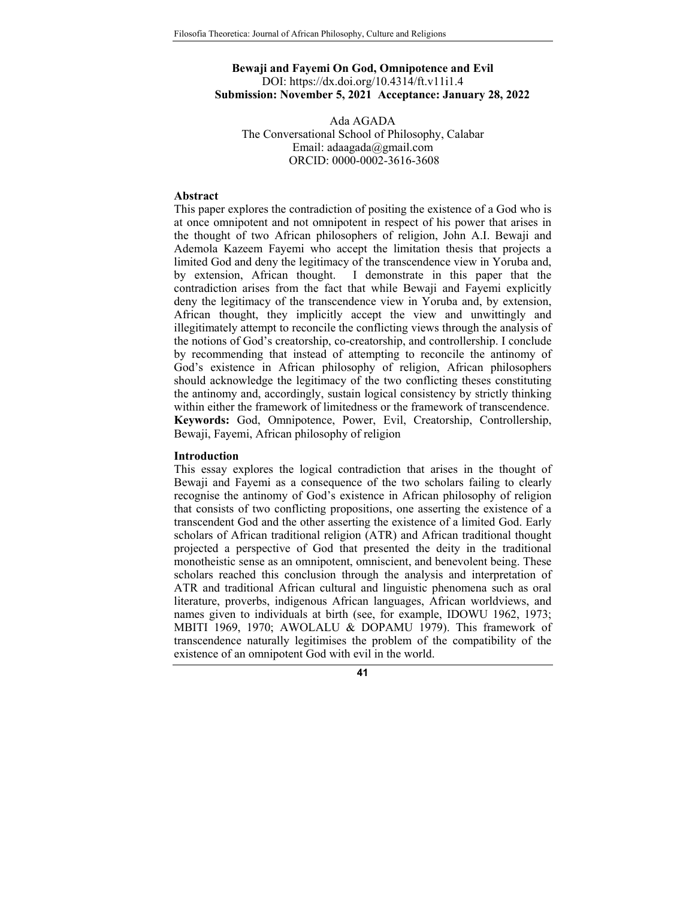# **Bewaji and Fayemi On God, Omnipotence and Evil**  DOI: https://dx.doi.org/10.4314/ft.v11i1.4 **Submission: November 5, 2021 Acceptance: January 28, 2022**

Ada AGADA The Conversational School of Philosophy, Calabar Email: adaagada@gmail.com ORCID: 0000-0002-3616-3608

### **Abstract**

This paper explores the contradiction of positing the existence of a God who is at once omnipotent and not omnipotent in respect of his power that arises in the thought of two African philosophers of religion, John A.I. Bewaji and Ademola Kazeem Fayemi who accept the limitation thesis that projects a limited God and deny the legitimacy of the transcendence view in Yoruba and, by extension, African thought. I demonstrate in this paper that the contradiction arises from the fact that while Bewaji and Fayemi explicitly deny the legitimacy of the transcendence view in Yoruba and, by extension, African thought, they implicitly accept the view and unwittingly and illegitimately attempt to reconcile the conflicting views through the analysis of the notions of God's creatorship, co-creatorship, and controllership. I conclude by recommending that instead of attempting to reconcile the antinomy of God's existence in African philosophy of religion, African philosophers should acknowledge the legitimacy of the two conflicting theses constituting the antinomy and, accordingly, sustain logical consistency by strictly thinking within either the framework of limitedness or the framework of transcendence. **Keywords:** God, Omnipotence, Power, Evil, Creatorship, Controllership, Bewaji, Fayemi, African philosophy of religion

#### **Introduction**

This essay explores the logical contradiction that arises in the thought of Bewaji and Fayemi as a consequence of the two scholars failing to clearly recognise the antinomy of God's existence in African philosophy of religion that consists of two conflicting propositions, one asserting the existence of a transcendent God and the other asserting the existence of a limited God. Early scholars of African traditional religion (ATR) and African traditional thought projected a perspective of God that presented the deity in the traditional monotheistic sense as an omnipotent, omniscient, and benevolent being. These scholars reached this conclusion through the analysis and interpretation of ATR and traditional African cultural and linguistic phenomena such as oral literature, proverbs, indigenous African languages, African worldviews, and names given to individuals at birth (see, for example, IDOWU 1962, 1973; MBITI 1969, 1970; AWOLALU & DOPAMU 1979). This framework of transcendence naturally legitimises the problem of the compatibility of the existence of an omnipotent God with evil in the world.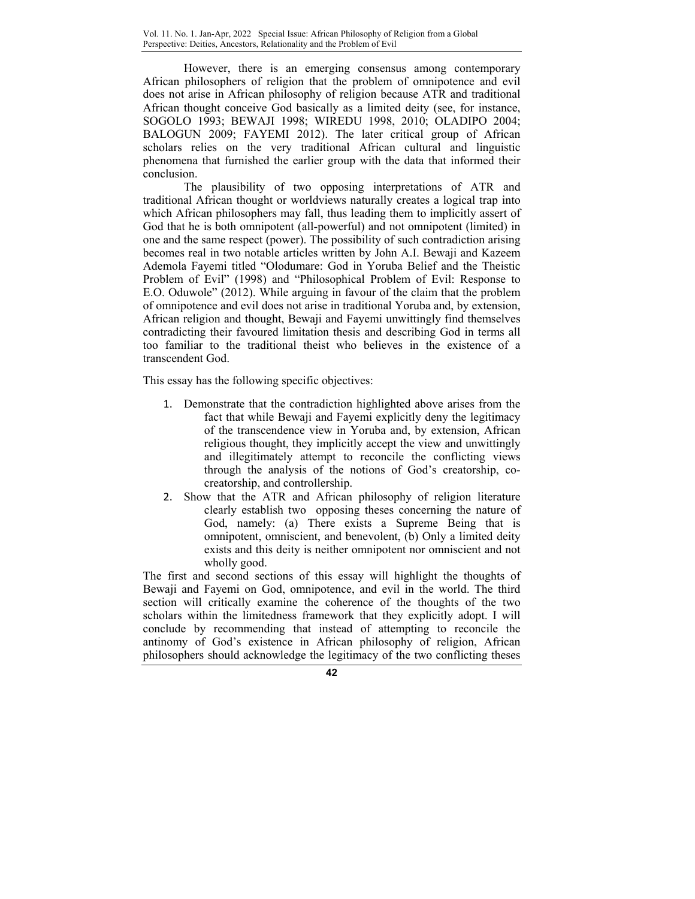However, there is an emerging consensus among contemporary African philosophers of religion that the problem of omnipotence and evil does not arise in African philosophy of religion because ATR and traditional African thought conceive God basically as a limited deity (see, for instance, SOGOLO 1993; BEWAJI 1998; WIREDU 1998, 2010; OLADIPO 2004; BALOGUN 2009; FAYEMI 2012). The later critical group of African scholars relies on the very traditional African cultural and linguistic phenomena that furnished the earlier group with the data that informed their conclusion.

The plausibility of two opposing interpretations of ATR and traditional African thought or worldviews naturally creates a logical trap into which African philosophers may fall, thus leading them to implicitly assert of God that he is both omnipotent (all-powerful) and not omnipotent (limited) in one and the same respect (power). The possibility of such contradiction arising becomes real in two notable articles written by John A.I. Bewaji and Kazeem Ademola Fayemi titled "Olodumare: God in Yoruba Belief and the Theistic Problem of Evil" (1998) and "Philosophical Problem of Evil: Response to E.O. Oduwole" (2012). While arguing in favour of the claim that the problem of omnipotence and evil does not arise in traditional Yoruba and, by extension, African religion and thought, Bewaji and Fayemi unwittingly find themselves contradicting their favoured limitation thesis and describing God in terms all too familiar to the traditional theist who believes in the existence of a transcendent God.

This essay has the following specific objectives:

- 1. Demonstrate that the contradiction highlighted above arises from the fact that while Bewaji and Fayemi explicitly deny the legitimacy of the transcendence view in Yoruba and, by extension, African religious thought, they implicitly accept the view and unwittingly and illegitimately attempt to reconcile the conflicting views through the analysis of the notions of God's creatorship, cocreatorship, and controllership.
- 2. Show that the ATR and African philosophy of religion literature clearly establish two opposing theses concerning the nature of God, namely: (a) There exists a Supreme Being that is omnipotent, omniscient, and benevolent, (b) Only a limited deity exists and this deity is neither omnipotent nor omniscient and not wholly good.

The first and second sections of this essay will highlight the thoughts of Bewaji and Fayemi on God, omnipotence, and evil in the world. The third section will critically examine the coherence of the thoughts of the two scholars within the limitedness framework that they explicitly adopt. I will conclude by recommending that instead of attempting to reconcile the antinomy of God's existence in African philosophy of religion, African philosophers should acknowledge the legitimacy of the two conflicting theses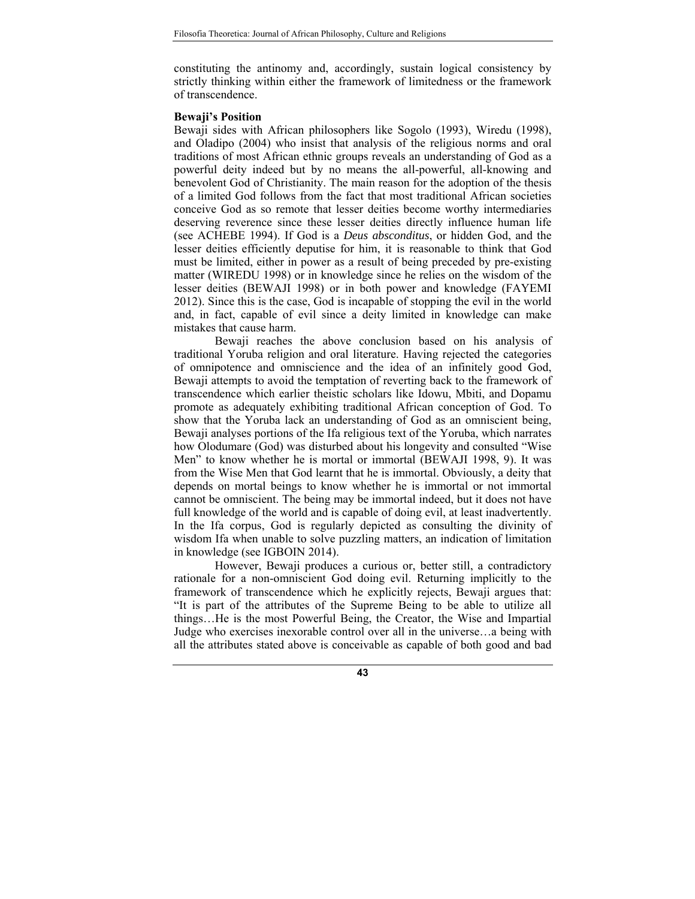constituting the antinomy and, accordingly, sustain logical consistency by strictly thinking within either the framework of limitedness or the framework of transcendence.

### **Bewaji's Position**

Bewaji sides with African philosophers like Sogolo (1993), Wiredu (1998), and Oladipo (2004) who insist that analysis of the religious norms and oral traditions of most African ethnic groups reveals an understanding of God as a powerful deity indeed but by no means the all-powerful, all-knowing and benevolent God of Christianity. The main reason for the adoption of the thesis of a limited God follows from the fact that most traditional African societies conceive God as so remote that lesser deities become worthy intermediaries deserving reverence since these lesser deities directly influence human life (see ACHEBE 1994). If God is a *Deus absconditus*, or hidden God, and the lesser deities efficiently deputise for him, it is reasonable to think that God must be limited, either in power as a result of being preceded by pre-existing matter (WIREDU 1998) or in knowledge since he relies on the wisdom of the lesser deities (BEWAJI 1998) or in both power and knowledge (FAYEMI 2012). Since this is the case, God is incapable of stopping the evil in the world and, in fact, capable of evil since a deity limited in knowledge can make mistakes that cause harm.

Bewaji reaches the above conclusion based on his analysis of traditional Yoruba religion and oral literature. Having rejected the categories of omnipotence and omniscience and the idea of an infinitely good God, Bewaji attempts to avoid the temptation of reverting back to the framework of transcendence which earlier theistic scholars like Idowu, Mbiti, and Dopamu promote as adequately exhibiting traditional African conception of God. To show that the Yoruba lack an understanding of God as an omniscient being, Bewaji analyses portions of the Ifa religious text of the Yoruba, which narrates how Olodumare (God) was disturbed about his longevity and consulted "Wise Men" to know whether he is mortal or immortal (BEWAJI 1998, 9). It was from the Wise Men that God learnt that he is immortal. Obviously, a deity that depends on mortal beings to know whether he is immortal or not immortal cannot be omniscient. The being may be immortal indeed, but it does not have full knowledge of the world and is capable of doing evil, at least inadvertently. In the Ifa corpus, God is regularly depicted as consulting the divinity of wisdom Ifa when unable to solve puzzling matters, an indication of limitation in knowledge (see IGBOIN 2014).

However, Bewaji produces a curious or, better still, a contradictory rationale for a non-omniscient God doing evil. Returning implicitly to the framework of transcendence which he explicitly rejects, Bewaji argues that: "It is part of the attributes of the Supreme Being to be able to utilize all things…He is the most Powerful Being, the Creator, the Wise and Impartial Judge who exercises inexorable control over all in the universe…a being with all the attributes stated above is conceivable as capable of both good and bad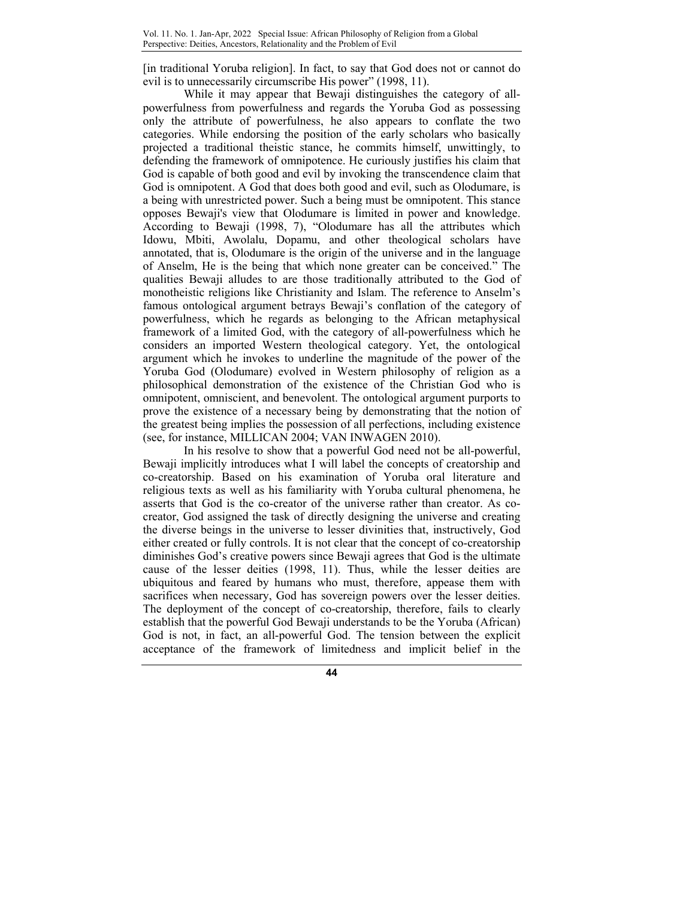[in traditional Yoruba religion]. In fact, to say that God does not or cannot do evil is to unnecessarily circumscribe His power" (1998, 11).

While it may appear that Bewaji distinguishes the category of allpowerfulness from powerfulness and regards the Yoruba God as possessing only the attribute of powerfulness, he also appears to conflate the two categories. While endorsing the position of the early scholars who basically projected a traditional theistic stance, he commits himself, unwittingly, to defending the framework of omnipotence. He curiously justifies his claim that God is capable of both good and evil by invoking the transcendence claim that God is omnipotent. A God that does both good and evil, such as Olodumare, is a being with unrestricted power. Such a being must be omnipotent. This stance opposes Bewaji's view that Olodumare is limited in power and knowledge. According to Bewaji (1998, 7), "Olodumare has all the attributes which Idowu, Mbiti, Awolalu, Dopamu, and other theological scholars have annotated, that is, Olodumare is the origin of the universe and in the language of Anselm, He is the being that which none greater can be conceived." The qualities Bewaji alludes to are those traditionally attributed to the God of monotheistic religions like Christianity and Islam. The reference to Anselm's famous ontological argument betrays Bewaji's conflation of the category of powerfulness, which he regards as belonging to the African metaphysical framework of a limited God, with the category of all-powerfulness which he considers an imported Western theological category. Yet, the ontological argument which he invokes to underline the magnitude of the power of the Yoruba God (Olodumare) evolved in Western philosophy of religion as a philosophical demonstration of the existence of the Christian God who is omnipotent, omniscient, and benevolent. The ontological argument purports to prove the existence of a necessary being by demonstrating that the notion of the greatest being implies the possession of all perfections, including existence (see, for instance, MILLICAN 2004; VAN INWAGEN 2010).

In his resolve to show that a powerful God need not be all-powerful, Bewaji implicitly introduces what I will label the concepts of creatorship and co-creatorship. Based on his examination of Yoruba oral literature and religious texts as well as his familiarity with Yoruba cultural phenomena, he asserts that God is the co-creator of the universe rather than creator. As cocreator, God assigned the task of directly designing the universe and creating the diverse beings in the universe to lesser divinities that, instructively, God either created or fully controls. It is not clear that the concept of co-creatorship diminishes God's creative powers since Bewaji agrees that God is the ultimate cause of the lesser deities (1998, 11). Thus, while the lesser deities are ubiquitous and feared by humans who must, therefore, appease them with sacrifices when necessary, God has sovereign powers over the lesser deities. The deployment of the concept of co-creatorship, therefore, fails to clearly establish that the powerful God Bewaji understands to be the Yoruba (African) God is not, in fact, an all-powerful God. The tension between the explicit acceptance of the framework of limitedness and implicit belief in the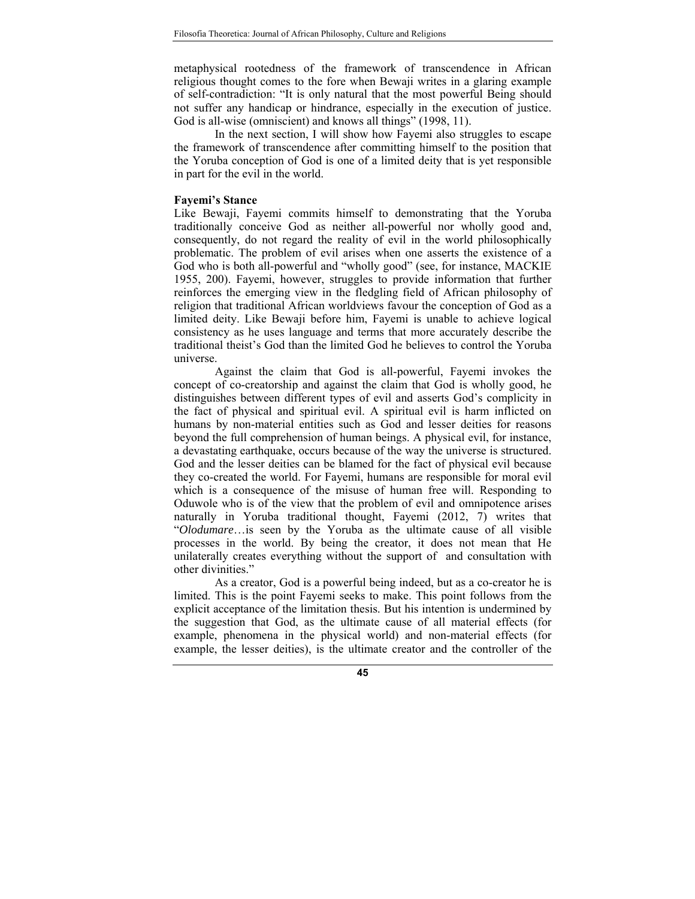metaphysical rootedness of the framework of transcendence in African religious thought comes to the fore when Bewaji writes in a glaring example of self-contradiction: "It is only natural that the most powerful Being should not suffer any handicap or hindrance, especially in the execution of justice. God is all-wise (omniscient) and knows all things" (1998, 11).

In the next section, I will show how Fayemi also struggles to escape the framework of transcendence after committing himself to the position that the Yoruba conception of God is one of a limited deity that is yet responsible in part for the evil in the world.

### **Fayemi's Stance**

Like Bewaji, Fayemi commits himself to demonstrating that the Yoruba traditionally conceive God as neither all-powerful nor wholly good and, consequently, do not regard the reality of evil in the world philosophically problematic. The problem of evil arises when one asserts the existence of a God who is both all-powerful and "wholly good" (see, for instance, MACKIE 1955, 200). Fayemi, however, struggles to provide information that further reinforces the emerging view in the fledgling field of African philosophy of religion that traditional African worldviews favour the conception of God as a limited deity. Like Bewaji before him, Fayemi is unable to achieve logical consistency as he uses language and terms that more accurately describe the traditional theist's God than the limited God he believes to control the Yoruba universe.

Against the claim that God is all-powerful, Fayemi invokes the concept of co-creatorship and against the claim that God is wholly good, he distinguishes between different types of evil and asserts God's complicity in the fact of physical and spiritual evil. A spiritual evil is harm inflicted on humans by non-material entities such as God and lesser deities for reasons beyond the full comprehension of human beings. A physical evil, for instance, a devastating earthquake, occurs because of the way the universe is structured. God and the lesser deities can be blamed for the fact of physical evil because they co-created the world. For Fayemi, humans are responsible for moral evil which is a consequence of the misuse of human free will. Responding to Oduwole who is of the view that the problem of evil and omnipotence arises naturally in Yoruba traditional thought, Fayemi (2012, 7) writes that "*Olodumare*…is seen by the Yoruba as the ultimate cause of all visible processes in the world. By being the creator, it does not mean that He unilaterally creates everything without the support of and consultation with other divinities."

As a creator, God is a powerful being indeed, but as a co-creator he is limited. This is the point Fayemi seeks to make. This point follows from the explicit acceptance of the limitation thesis. But his intention is undermined by the suggestion that God, as the ultimate cause of all material effects (for example, phenomena in the physical world) and non-material effects (for example, the lesser deities), is the ultimate creator and the controller of the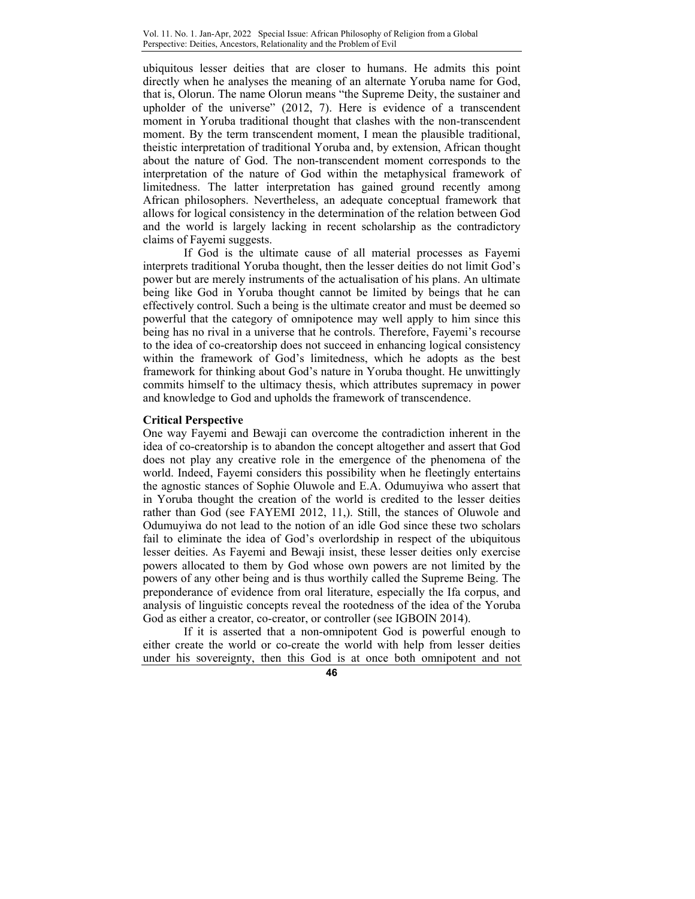ubiquitous lesser deities that are closer to humans. He admits this point directly when he analyses the meaning of an alternate Yoruba name for God, that is, Olorun. The name Olorun means "the Supreme Deity, the sustainer and upholder of the universe" (2012, 7). Here is evidence of a transcendent moment in Yoruba traditional thought that clashes with the non-transcendent moment. By the term transcendent moment, I mean the plausible traditional, theistic interpretation of traditional Yoruba and, by extension, African thought about the nature of God. The non-transcendent moment corresponds to the interpretation of the nature of God within the metaphysical framework of limitedness. The latter interpretation has gained ground recently among African philosophers. Nevertheless, an adequate conceptual framework that allows for logical consistency in the determination of the relation between God and the world is largely lacking in recent scholarship as the contradictory claims of Fayemi suggests.

If God is the ultimate cause of all material processes as Fayemi interprets traditional Yoruba thought, then the lesser deities do not limit God's power but are merely instruments of the actualisation of his plans. An ultimate being like God in Yoruba thought cannot be limited by beings that he can effectively control. Such a being is the ultimate creator and must be deemed so powerful that the category of omnipotence may well apply to him since this being has no rival in a universe that he controls. Therefore, Fayemi's recourse to the idea of co-creatorship does not succeed in enhancing logical consistency within the framework of God's limitedness, which he adopts as the best framework for thinking about God's nature in Yoruba thought. He unwittingly commits himself to the ultimacy thesis, which attributes supremacy in power and knowledge to God and upholds the framework of transcendence.

### **Critical Perspective**

One way Fayemi and Bewaji can overcome the contradiction inherent in the idea of co-creatorship is to abandon the concept altogether and assert that God does not play any creative role in the emergence of the phenomena of the world. Indeed, Fayemi considers this possibility when he fleetingly entertains the agnostic stances of Sophie Oluwole and E.A. Odumuyiwa who assert that in Yoruba thought the creation of the world is credited to the lesser deities rather than God (see FAYEMI 2012, 11,). Still, the stances of Oluwole and Odumuyiwa do not lead to the notion of an idle God since these two scholars fail to eliminate the idea of God's overlordship in respect of the ubiquitous lesser deities. As Fayemi and Bewaji insist, these lesser deities only exercise powers allocated to them by God whose own powers are not limited by the powers of any other being and is thus worthily called the Supreme Being. The preponderance of evidence from oral literature, especially the Ifa corpus, and analysis of linguistic concepts reveal the rootedness of the idea of the Yoruba God as either a creator, co-creator, or controller (see IGBOIN 2014).

If it is asserted that a non-omnipotent God is powerful enough to either create the world or co-create the world with help from lesser deities under his sovereignty, then this God is at once both omnipotent and not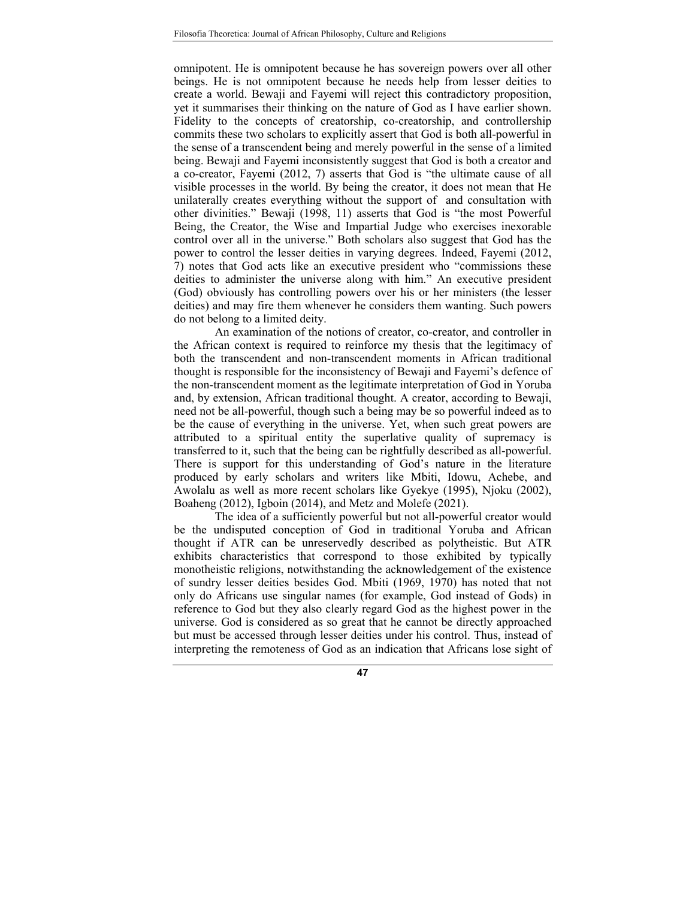omnipotent. He is omnipotent because he has sovereign powers over all other beings. He is not omnipotent because he needs help from lesser deities to create a world. Bewaji and Fayemi will reject this contradictory proposition, yet it summarises their thinking on the nature of God as I have earlier shown. Fidelity to the concepts of creatorship, co-creatorship, and controllership commits these two scholars to explicitly assert that God is both all-powerful in the sense of a transcendent being and merely powerful in the sense of a limited being. Bewaji and Fayemi inconsistently suggest that God is both a creator and a co-creator, Fayemi (2012, 7) asserts that God is "the ultimate cause of all visible processes in the world. By being the creator, it does not mean that He unilaterally creates everything without the support of and consultation with other divinities." Bewaji (1998, 11) asserts that God is "the most Powerful Being, the Creator, the Wise and Impartial Judge who exercises inexorable control over all in the universe." Both scholars also suggest that God has the power to control the lesser deities in varying degrees. Indeed, Fayemi (2012, 7) notes that God acts like an executive president who "commissions these deities to administer the universe along with him." An executive president (God) obviously has controlling powers over his or her ministers (the lesser deities) and may fire them whenever he considers them wanting. Such powers do not belong to a limited deity.

An examination of the notions of creator, co-creator, and controller in the African context is required to reinforce my thesis that the legitimacy of both the transcendent and non-transcendent moments in African traditional thought is responsible for the inconsistency of Bewaji and Fayemi's defence of the non-transcendent moment as the legitimate interpretation of God in Yoruba and, by extension, African traditional thought. A creator, according to Bewaji, need not be all-powerful, though such a being may be so powerful indeed as to be the cause of everything in the universe. Yet, when such great powers are attributed to a spiritual entity the superlative quality of supremacy is transferred to it, such that the being can be rightfully described as all-powerful. There is support for this understanding of God's nature in the literature produced by early scholars and writers like Mbiti, Idowu, Achebe, and Awolalu as well as more recent scholars like Gyekye (1995), Njoku (2002), Boaheng (2012), Igboin (2014), and Metz and Molefe (2021).

The idea of a sufficiently powerful but not all-powerful creator would be the undisputed conception of God in traditional Yoruba and African thought if ATR can be unreservedly described as polytheistic. But ATR exhibits characteristics that correspond to those exhibited by typically monotheistic religions, notwithstanding the acknowledgement of the existence of sundry lesser deities besides God. Mbiti (1969, 1970) has noted that not only do Africans use singular names (for example, God instead of Gods) in reference to God but they also clearly regard God as the highest power in the universe. God is considered as so great that he cannot be directly approached but must be accessed through lesser deities under his control. Thus, instead of interpreting the remoteness of God as an indication that Africans lose sight of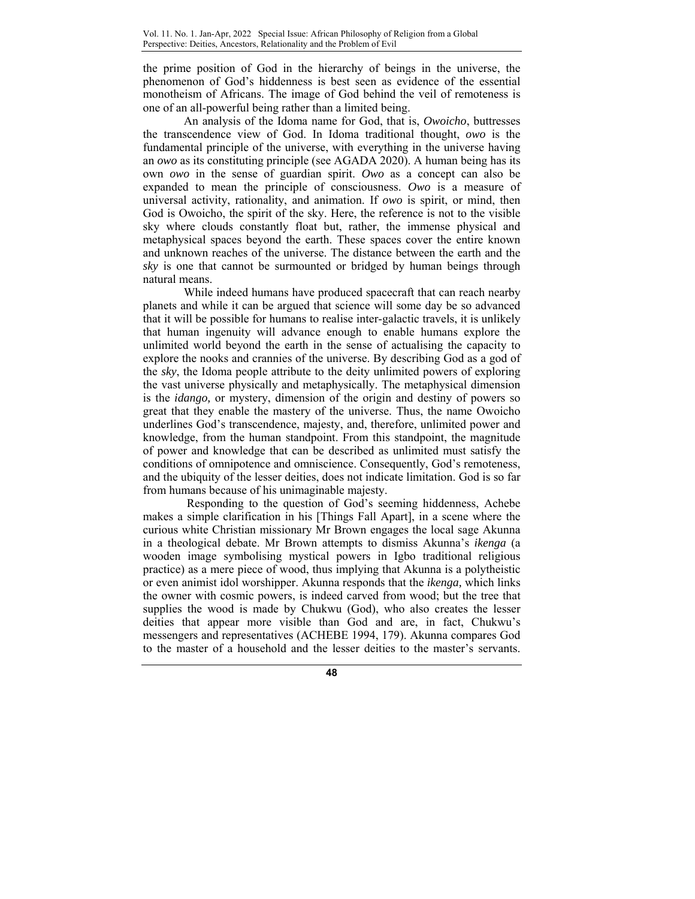the prime position of God in the hierarchy of beings in the universe, the phenomenon of God's hiddenness is best seen as evidence of the essential monotheism of Africans. The image of God behind the veil of remoteness is one of an all-powerful being rather than a limited being.

An analysis of the Idoma name for God, that is, *Owoicho*, buttresses the transcendence view of God. In Idoma traditional thought, *owo* is the fundamental principle of the universe, with everything in the universe having an *owo* as its constituting principle (see AGADA 2020). A human being has its own *owo* in the sense of guardian spirit. *Owo* as a concept can also be expanded to mean the principle of consciousness. *Owo* is a measure of universal activity, rationality, and animation. If *owo* is spirit, or mind, then God is Owoicho, the spirit of the sky. Here, the reference is not to the visible sky where clouds constantly float but, rather, the immense physical and metaphysical spaces beyond the earth. These spaces cover the entire known and unknown reaches of the universe. The distance between the earth and the *sky* is one that cannot be surmounted or bridged by human beings through natural means.

While indeed humans have produced spacecraft that can reach nearby planets and while it can be argued that science will some day be so advanced that it will be possible for humans to realise inter-galactic travels, it is unlikely that human ingenuity will advance enough to enable humans explore the unlimited world beyond the earth in the sense of actualising the capacity to explore the nooks and crannies of the universe. By describing God as a god of the *sky*, the Idoma people attribute to the deity unlimited powers of exploring the vast universe physically and metaphysically. The metaphysical dimension is the *idango,* or mystery, dimension of the origin and destiny of powers so great that they enable the mastery of the universe. Thus, the name Owoicho underlines God's transcendence, majesty, and, therefore, unlimited power and knowledge, from the human standpoint. From this standpoint, the magnitude of power and knowledge that can be described as unlimited must satisfy the conditions of omnipotence and omniscience. Consequently, God's remoteness, and the ubiquity of the lesser deities, does not indicate limitation. God is so far from humans because of his unimaginable majesty.

 Responding to the question of God's seeming hiddenness, Achebe makes a simple clarification in his [Things Fall Apart], in a scene where the curious white Christian missionary Mr Brown engages the local sage Akunna in a theological debate. Mr Brown attempts to dismiss Akunna's *ikenga* (a wooden image symbolising mystical powers in Igbo traditional religious practice) as a mere piece of wood, thus implying that Akunna is a polytheistic or even animist idol worshipper. Akunna responds that the *ikenga,* which links the owner with cosmic powers, is indeed carved from wood; but the tree that supplies the wood is made by Chukwu (God), who also creates the lesser deities that appear more visible than God and are, in fact, Chukwu's messengers and representatives (ACHEBE 1994, 179). Akunna compares God to the master of a household and the lesser deities to the master's servants.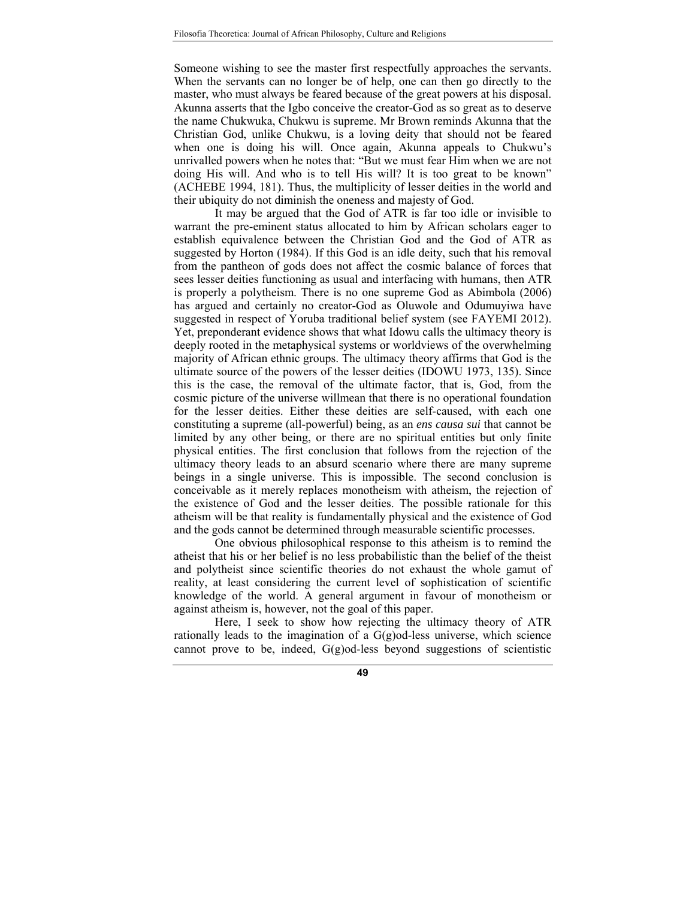Someone wishing to see the master first respectfully approaches the servants. When the servants can no longer be of help, one can then go directly to the master, who must always be feared because of the great powers at his disposal. Akunna asserts that the Igbo conceive the creator-God as so great as to deserve the name Chukwuka, Chukwu is supreme. Mr Brown reminds Akunna that the Christian God, unlike Chukwu, is a loving deity that should not be feared when one is doing his will. Once again, Akunna appeals to Chukwu's unrivalled powers when he notes that: "But we must fear Him when we are not doing His will. And who is to tell His will? It is too great to be known" (ACHEBE 1994, 181). Thus, the multiplicity of lesser deities in the world and their ubiquity do not diminish the oneness and majesty of God.

It may be argued that the God of ATR is far too idle or invisible to warrant the pre-eminent status allocated to him by African scholars eager to establish equivalence between the Christian God and the God of ATR as suggested by Horton (1984). If this God is an idle deity, such that his removal from the pantheon of gods does not affect the cosmic balance of forces that sees lesser deities functioning as usual and interfacing with humans, then ATR is properly a polytheism. There is no one supreme God as Abimbola (2006) has argued and certainly no creator-God as Oluwole and Odumuyiwa have suggested in respect of Yoruba traditional belief system (see FAYEMI 2012). Yet, preponderant evidence shows that what Idowu calls the ultimacy theory is deeply rooted in the metaphysical systems or worldviews of the overwhelming majority of African ethnic groups. The ultimacy theory affirms that God is the ultimate source of the powers of the lesser deities (IDOWU 1973, 135). Since this is the case, the removal of the ultimate factor, that is, God, from the cosmic picture of the universe willmean that there is no operational foundation for the lesser deities. Either these deities are self-caused, with each one constituting a supreme (all-powerful) being, as an *ens causa sui* that cannot be limited by any other being, or there are no spiritual entities but only finite physical entities. The first conclusion that follows from the rejection of the ultimacy theory leads to an absurd scenario where there are many supreme beings in a single universe. This is impossible. The second conclusion is conceivable as it merely replaces monotheism with atheism, the rejection of the existence of God and the lesser deities. The possible rationale for this atheism will be that reality is fundamentally physical and the existence of God and the gods cannot be determined through measurable scientific processes.

One obvious philosophical response to this atheism is to remind the atheist that his or her belief is no less probabilistic than the belief of the theist and polytheist since scientific theories do not exhaust the whole gamut of reality, at least considering the current level of sophistication of scientific knowledge of the world. A general argument in favour of monotheism or against atheism is, however, not the goal of this paper.

Here, I seek to show how rejecting the ultimacy theory of ATR rationally leads to the imagination of a G(g)od-less universe, which science cannot prove to be, indeed, G(g)od-less beyond suggestions of scientistic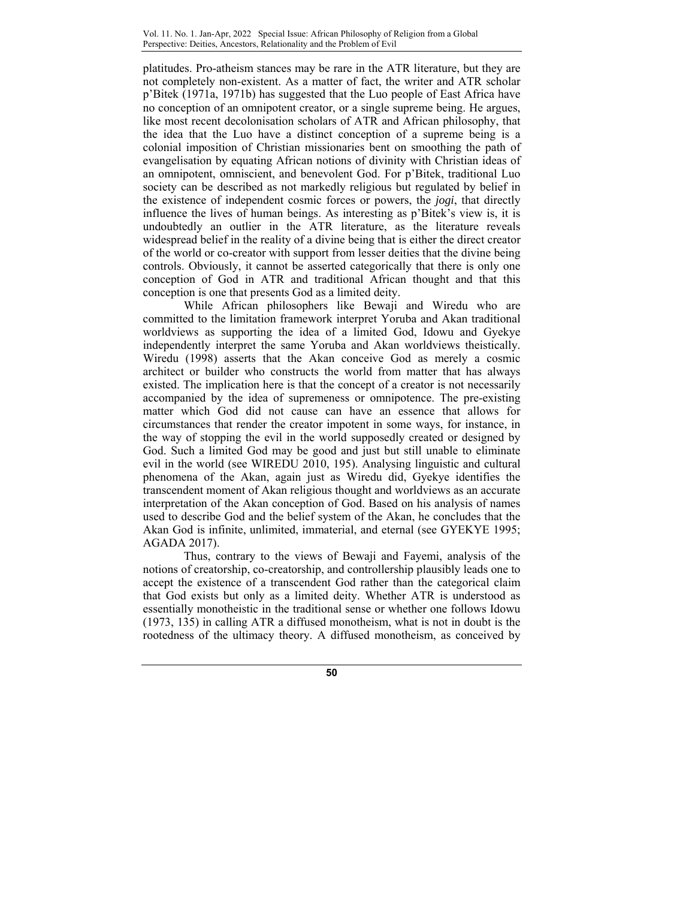platitudes. Pro-atheism stances may be rare in the ATR literature, but they are not completely non-existent. As a matter of fact, the writer and ATR scholar p'Bitek (1971a, 1971b) has suggested that the Luo people of East Africa have no conception of an omnipotent creator, or a single supreme being. He argues, like most recent decolonisation scholars of ATR and African philosophy, that the idea that the Luo have a distinct conception of a supreme being is a colonial imposition of Christian missionaries bent on smoothing the path of evangelisation by equating African notions of divinity with Christian ideas of an omnipotent, omniscient, and benevolent God. For p'Bitek, traditional Luo society can be described as not markedly religious but regulated by belief in the existence of independent cosmic forces or powers, the *jogi*, that directly influence the lives of human beings. As interesting as p'Bitek's view is, it is undoubtedly an outlier in the ATR literature, as the literature reveals widespread belief in the reality of a divine being that is either the direct creator of the world or co-creator with support from lesser deities that the divine being controls. Obviously, it cannot be asserted categorically that there is only one conception of God in ATR and traditional African thought and that this conception is one that presents God as a limited deity.

While African philosophers like Bewaji and Wiredu who are committed to the limitation framework interpret Yoruba and Akan traditional worldviews as supporting the idea of a limited God, Idowu and Gyekye independently interpret the same Yoruba and Akan worldviews theistically. Wiredu (1998) asserts that the Akan conceive God as merely a cosmic architect or builder who constructs the world from matter that has always existed. The implication here is that the concept of a creator is not necessarily accompanied by the idea of supremeness or omnipotence. The pre-existing matter which God did not cause can have an essence that allows for circumstances that render the creator impotent in some ways, for instance, in the way of stopping the evil in the world supposedly created or designed by God. Such a limited God may be good and just but still unable to eliminate evil in the world (see WIREDU 2010, 195). Analysing linguistic and cultural phenomena of the Akan, again just as Wiredu did, Gyekye identifies the transcendent moment of Akan religious thought and worldviews as an accurate interpretation of the Akan conception of God. Based on his analysis of names used to describe God and the belief system of the Akan, he concludes that the Akan God is infinite, unlimited, immaterial, and eternal (see GYEKYE 1995; AGADA 2017).

Thus, contrary to the views of Bewaji and Fayemi, analysis of the notions of creatorship, co-creatorship, and controllership plausibly leads one to accept the existence of a transcendent God rather than the categorical claim that God exists but only as a limited deity. Whether ATR is understood as essentially monotheistic in the traditional sense or whether one follows Idowu (1973, 135) in calling ATR a diffused monotheism, what is not in doubt is the rootedness of the ultimacy theory. A diffused monotheism, as conceived by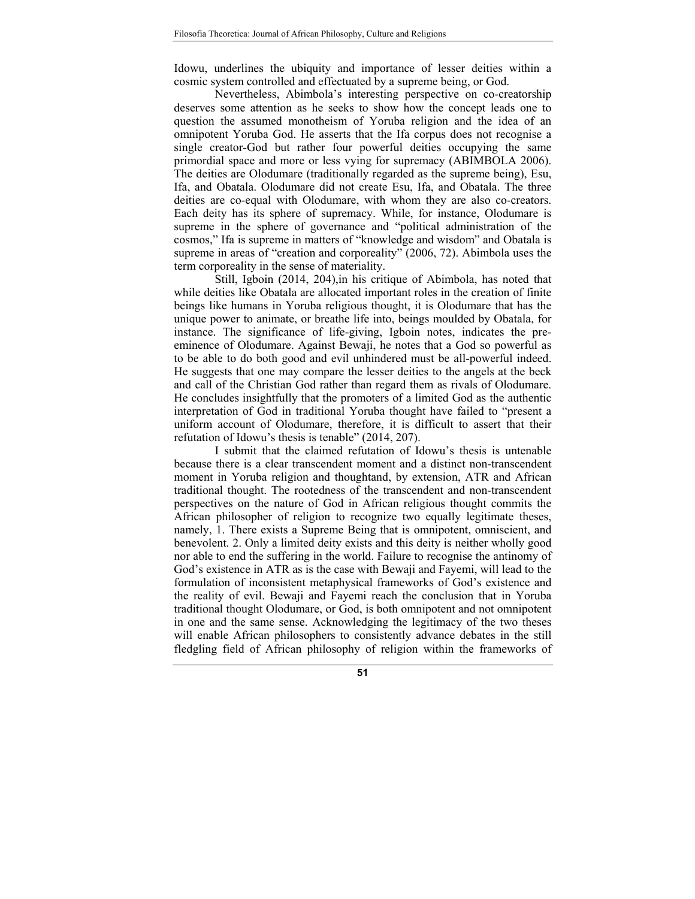Idowu, underlines the ubiquity and importance of lesser deities within a cosmic system controlled and effectuated by a supreme being, or God.

 Nevertheless, Abimbola's interesting perspective on co-creatorship deserves some attention as he seeks to show how the concept leads one to question the assumed monotheism of Yoruba religion and the idea of an omnipotent Yoruba God. He asserts that the Ifa corpus does not recognise a single creator-God but rather four powerful deities occupying the same primordial space and more or less vying for supremacy (ABIMBOLA 2006). The deities are Olodumare (traditionally regarded as the supreme being), Esu, Ifa, and Obatala. Olodumare did not create Esu, Ifa, and Obatala. The three deities are co-equal with Olodumare, with whom they are also co-creators. Each deity has its sphere of supremacy. While, for instance, Olodumare is supreme in the sphere of governance and "political administration of the cosmos," Ifa is supreme in matters of "knowledge and wisdom" and Obatala is supreme in areas of "creation and corporeality" (2006, 72). Abimbola uses the term corporeality in the sense of materiality.

Still, Igboin (2014, 204),in his critique of Abimbola, has noted that while deities like Obatala are allocated important roles in the creation of finite beings like humans in Yoruba religious thought, it is Olodumare that has the unique power to animate, or breathe life into, beings moulded by Obatala, for instance. The significance of life-giving, Igboin notes, indicates the preeminence of Olodumare. Against Bewaji, he notes that a God so powerful as to be able to do both good and evil unhindered must be all-powerful indeed. He suggests that one may compare the lesser deities to the angels at the beck and call of the Christian God rather than regard them as rivals of Olodumare. He concludes insightfully that the promoters of a limited God as the authentic interpretation of God in traditional Yoruba thought have failed to "present a uniform account of Olodumare, therefore, it is difficult to assert that their refutation of Idowu's thesis is tenable" (2014, 207).

I submit that the claimed refutation of Idowu's thesis is untenable because there is a clear transcendent moment and a distinct non-transcendent moment in Yoruba religion and thoughtand, by extension, ATR and African traditional thought. The rootedness of the transcendent and non-transcendent perspectives on the nature of God in African religious thought commits the African philosopher of religion to recognize two equally legitimate theses, namely, 1. There exists a Supreme Being that is omnipotent, omniscient, and benevolent. 2. Only a limited deity exists and this deity is neither wholly good nor able to end the suffering in the world. Failure to recognise the antinomy of God's existence in ATR as is the case with Bewaji and Fayemi, will lead to the formulation of inconsistent metaphysical frameworks of God's existence and the reality of evil. Bewaji and Fayemi reach the conclusion that in Yoruba traditional thought Olodumare, or God, is both omnipotent and not omnipotent in one and the same sense. Acknowledging the legitimacy of the two theses will enable African philosophers to consistently advance debates in the still fledgling field of African philosophy of religion within the frameworks of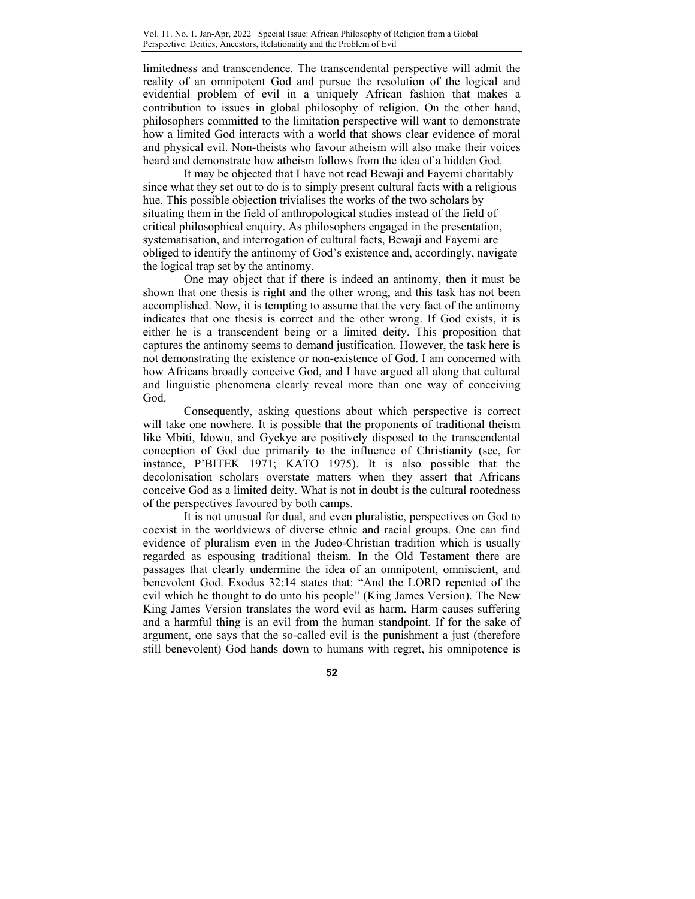limitedness and transcendence. The transcendental perspective will admit the reality of an omnipotent God and pursue the resolution of the logical and evidential problem of evil in a uniquely African fashion that makes a contribution to issues in global philosophy of religion. On the other hand, philosophers committed to the limitation perspective will want to demonstrate how a limited God interacts with a world that shows clear evidence of moral and physical evil. Non-theists who favour atheism will also make their voices heard and demonstrate how atheism follows from the idea of a hidden God.

It may be objected that I have not read Bewaji and Fayemi charitably since what they set out to do is to simply present cultural facts with a religious hue. This possible objection trivialises the works of the two scholars by situating them in the field of anthropological studies instead of the field of critical philosophical enquiry. As philosophers engaged in the presentation, systematisation, and interrogation of cultural facts, Bewaji and Fayemi are obliged to identify the antinomy of God's existence and, accordingly, navigate the logical trap set by the antinomy.

One may object that if there is indeed an antinomy, then it must be shown that one thesis is right and the other wrong, and this task has not been accomplished. Now, it is tempting to assume that the very fact of the antinomy indicates that one thesis is correct and the other wrong. If God exists, it is either he is a transcendent being or a limited deity. This proposition that captures the antinomy seems to demand justification. However, the task here is not demonstrating the existence or non-existence of God. I am concerned with how Africans broadly conceive God, and I have argued all along that cultural and linguistic phenomena clearly reveal more than one way of conceiving God.

Consequently, asking questions about which perspective is correct will take one nowhere. It is possible that the proponents of traditional theism like Mbiti, Idowu, and Gyekye are positively disposed to the transcendental conception of God due primarily to the influence of Christianity (see, for instance, P'BITEK 1971; KATO 1975). It is also possible that the decolonisation scholars overstate matters when they assert that Africans conceive God as a limited deity. What is not in doubt is the cultural rootedness of the perspectives favoured by both camps.

It is not unusual for dual, and even pluralistic, perspectives on God to coexist in the worldviews of diverse ethnic and racial groups. One can find evidence of pluralism even in the Judeo-Christian tradition which is usually regarded as espousing traditional theism. In the Old Testament there are passages that clearly undermine the idea of an omnipotent, omniscient, and benevolent God. Exodus 32:14 states that: "And the LORD repented of the evil which he thought to do unto his people" (King James Version). The New King James Version translates the word evil as harm. Harm causes suffering and a harmful thing is an evil from the human standpoint. If for the sake of argument, one says that the so-called evil is the punishment a just (therefore still benevolent) God hands down to humans with regret, his omnipotence is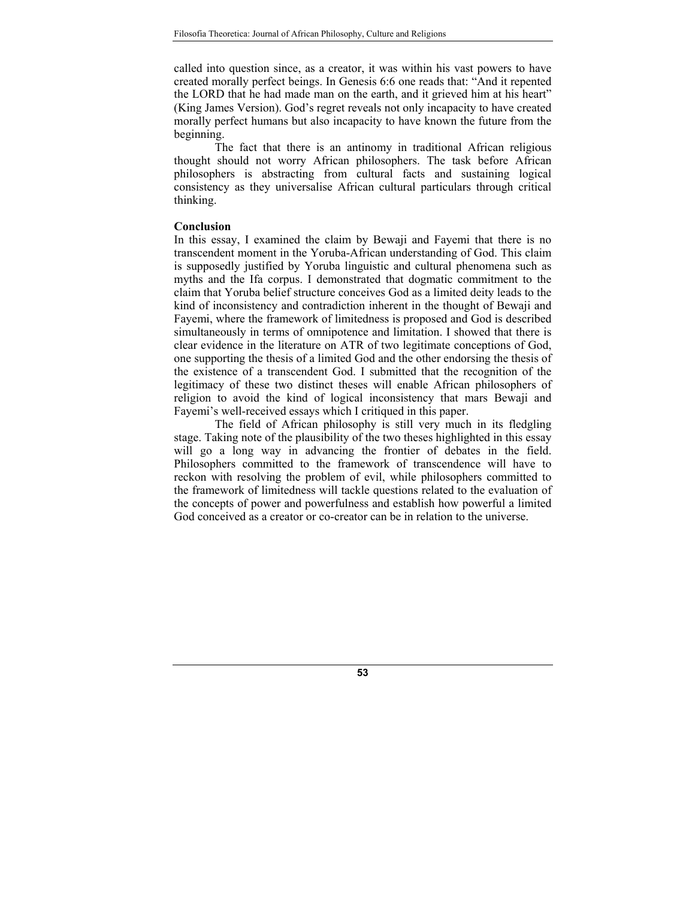called into question since, as a creator, it was within his vast powers to have created morally perfect beings. In Genesis 6:6 one reads that: "And it repented the LORD that he had made man on the earth, and it grieved him at his heart" (King James Version). God's regret reveals not only incapacity to have created morally perfect humans but also incapacity to have known the future from the beginning.

The fact that there is an antinomy in traditional African religious thought should not worry African philosophers. The task before African philosophers is abstracting from cultural facts and sustaining logical consistency as they universalise African cultural particulars through critical thinking.

# **Conclusion**

In this essay, I examined the claim by Bewaji and Fayemi that there is no transcendent moment in the Yoruba-African understanding of God. This claim is supposedly justified by Yoruba linguistic and cultural phenomena such as myths and the Ifa corpus. I demonstrated that dogmatic commitment to the claim that Yoruba belief structure conceives God as a limited deity leads to the kind of inconsistency and contradiction inherent in the thought of Bewaji and Fayemi, where the framework of limitedness is proposed and God is described simultaneously in terms of omnipotence and limitation. I showed that there is clear evidence in the literature on ATR of two legitimate conceptions of God, one supporting the thesis of a limited God and the other endorsing the thesis of the existence of a transcendent God. I submitted that the recognition of the legitimacy of these two distinct theses will enable African philosophers of religion to avoid the kind of logical inconsistency that mars Bewaji and Fayemi's well-received essays which I critiqued in this paper.

The field of African philosophy is still very much in its fledgling stage. Taking note of the plausibility of the two theses highlighted in this essay will go a long way in advancing the frontier of debates in the field. Philosophers committed to the framework of transcendence will have to reckon with resolving the problem of evil, while philosophers committed to the framework of limitedness will tackle questions related to the evaluation of the concepts of power and powerfulness and establish how powerful a limited God conceived as a creator or co-creator can be in relation to the universe.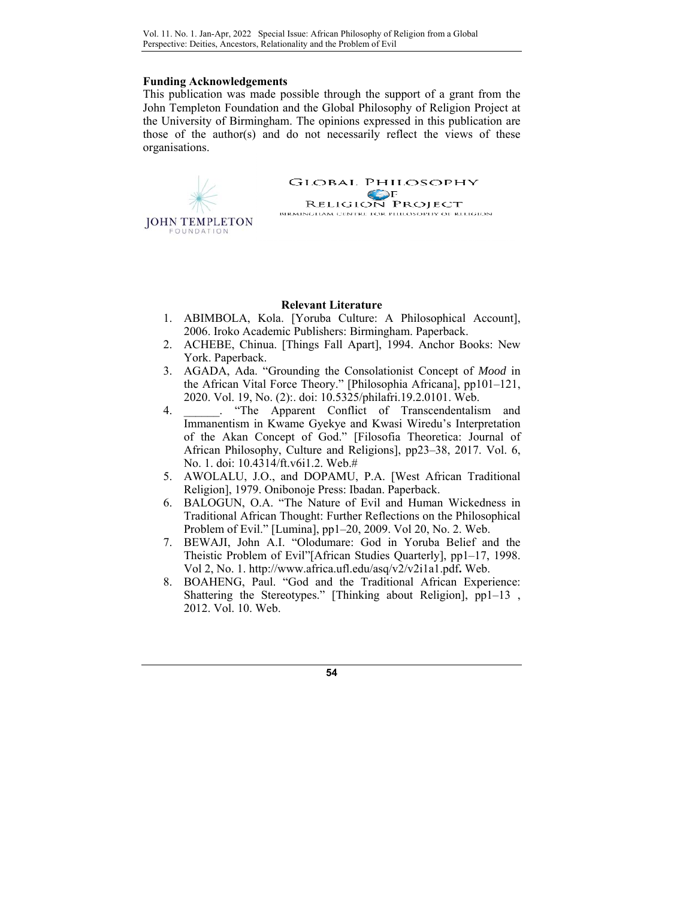# **Funding Acknowledgements**

This publication was made possible through the support of a grant from the John Templeton Foundation and the Global Philosophy of Religion Project at the University of Birmingham. The opinions expressed in this publication are those of the author(s) and do not necessarily reflect the views of these organisations.



### **Relevant Literature**

- 1. ABIMBOLA, Kola. [Yoruba Culture: A Philosophical Account], 2006. Iroko Academic Publishers: Birmingham. Paperback.
- 2. ACHEBE, Chinua. [Things Fall Apart], 1994. Anchor Books: New York. Paperback.
- 3. AGADA, Ada. "Grounding the Consolationist Concept of *Mood* in the African Vital Force Theory." [Philosophia Africana], pp101–121, 2020. Vol. 19, No. (2):. doi: 10.5325/philafri.19.2.0101. Web.
- 4. \_\_\_\_\_\_. "The Apparent Conflict of Transcendentalism and Immanentism in Kwame Gyekye and Kwasi Wiredu's Interpretation of the Akan Concept of God." [Filosofia Theoretica: Journal of African Philosophy, Culture and Religions], pp23–38, 2017. Vol. 6, No. 1. doi: 10.4314/ft.v6i1.2. Web.#
- 5. AWOLALU, J.O., and DOPAMU, P.A. [West African Traditional Religion], 1979. Onibonoje Press: Ibadan. Paperback.
- 6. BALOGUN, O.A. "The Nature of Evil and Human Wickedness in Traditional African Thought: Further Reflections on the Philosophical Problem of Evil." [Lumina], pp1–20, 2009. Vol 20, No. 2. Web.
- 7. BEWAJI, John A.I. "Olodumare: God in Yoruba Belief and the Theistic Problem of Evil"[African Studies Quarterly], pp1–17, 1998. Vol 2, No. 1. http://www.africa.ufl.edu/asq/v2/v2i1a1.pdf**.** Web.
- 8. BOAHENG, Paul. "God and the Traditional African Experience: Shattering the Stereotypes." [Thinking about Religion], pp1–13 , 2012. Vol. 10. Web.

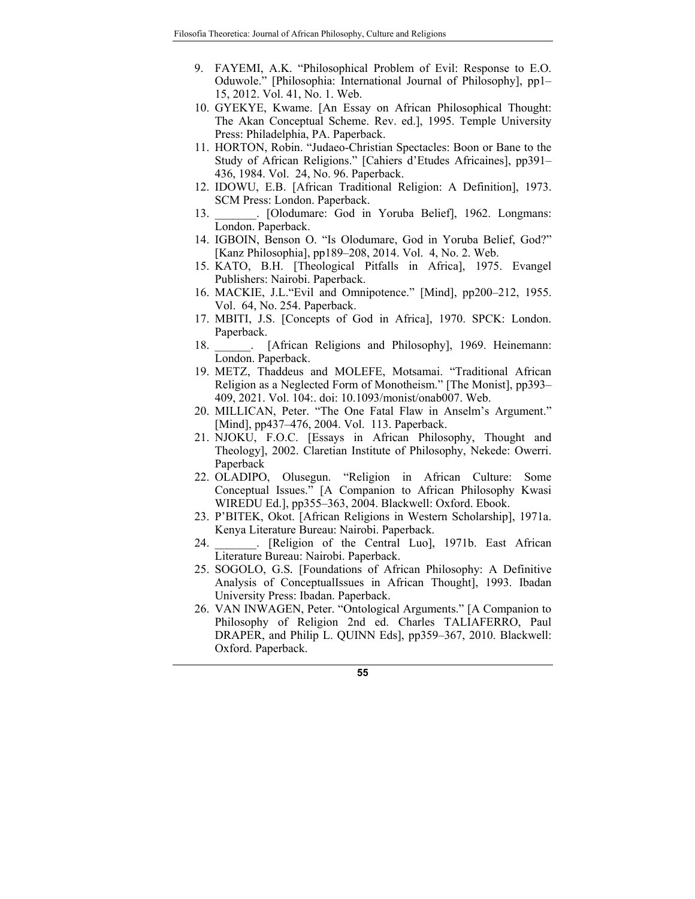- 9. FAYEMI, A.K. "Philosophical Problem of Evil: Response to E.O. Oduwole." [Philosophia: International Journal of Philosophy], pp1– 15, 2012. Vol. 41, No. 1. Web.
- 10. GYEKYE, Kwame. [An Essay on African Philosophical Thought: The Akan Conceptual Scheme. Rev. ed.], 1995. Temple University Press: Philadelphia, PA. Paperback.
- 11. HORTON, Robin. "Judaeo-Christian Spectacles: Boon or Bane to the Study of African Religions." [Cahiers d'Etudes Africaines], pp391– 436, 1984. Vol. 24, No. 96. Paperback.
- 12. IDOWU, E.B. [African Traditional Religion: A Definition], 1973. SCM Press: London. Paperback.
- 13. **In the Indumare:** God in Yoruba Belief, 1962. Longmans: London. Paperback.
- 14. IGBOIN, Benson O. "Is Olodumare, God in Yoruba Belief, God?" [Kanz Philosophia], pp189–208, 2014. Vol. 4, No. 2. Web.
- 15. KATO, B.H. [Theological Pitfalls in Africa], 1975. Evangel Publishers: Nairobi. Paperback.
- 16. MACKIE, J.L."Evil and Omnipotence." [Mind], pp200–212, 1955. Vol. 64, No. 254. Paperback.
- 17. MBITI, J.S. [Concepts of God in Africa], 1970. SPCK: London. Paperback.
- 18. **Alter 18.** [African Religions and Philosophy], 1969. Heinemann: London. Paperback.
- 19. METZ, Thaddeus and MOLEFE, Motsamai. "Traditional African Religion as a Neglected Form of Monotheism." [The Monist], pp393– 409, 2021. Vol. 104:. doi: 10.1093/monist/onab007. Web.
- 20. MILLICAN, Peter. "The One Fatal Flaw in Anselm's Argument." [Mind], pp437-476, 2004. Vol. 113. Paperback.
- 21. NJOKU, F.O.C. [Essays in African Philosophy, Thought and Theology], 2002. Claretian Institute of Philosophy, Nekede: Owerri. Paperback
- 22. OLADIPO, Olusegun. "Religion in African Culture: Some Conceptual Issues." [A Companion to African Philosophy Kwasi WIREDU Ed.], pp355–363, 2004. Blackwell: Oxford. Ebook.
- 23. P'BITEK, Okot. [African Religions in Western Scholarship], 1971a. Kenya Literature Bureau: Nairobi. Paperback.
- 24. \_\_\_\_\_\_\_. [Religion of the Central Luo], 1971b. East African Literature Bureau: Nairobi. Paperback.
- 25. SOGOLO, G.S*.* [Foundations of African Philosophy: A Definitive Analysis of ConceptualIssues in African Thought], 1993. Ibadan University Press: Ibadan. Paperback.
- 26. VAN INWAGEN, Peter. "Ontological Arguments." [A Companion to Philosophy of Religion 2nd ed. Charles TALIAFERRO, Paul DRAPER, and Philip L. QUINN Eds], pp359–367, 2010. Blackwell: Oxford. Paperback.